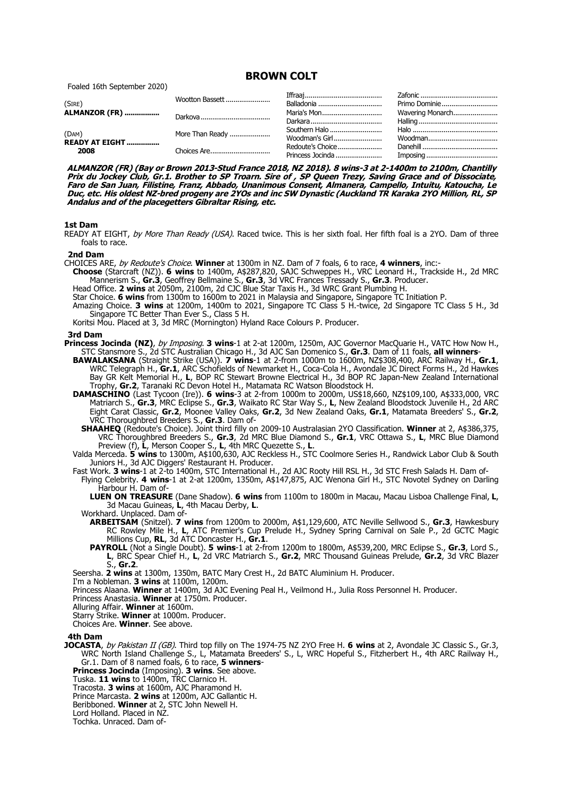**BROWN COLT**

Foaled 16th September 2020)

| (SIRE)<br><b>ALMANZOR (FR)</b>          | Wootton Bassett | Balladonia       | Primo Dominie    |
|-----------------------------------------|-----------------|------------------|------------------|
|                                         |                 | Maria's Mon      | Wavering Monarch |
|                                         |                 |                  |                  |
| (DAM)<br><b>READY AT EIGHT </b><br>2008 | More Than Ready |                  |                  |
|                                         |                 | Woodman's Girl   |                  |
|                                         | Choices Are     | Redoute's Choice |                  |
|                                         |                 |                  |                  |

**ALMANZOR (FR) (Bay or Brown 2013-Stud France 2018, NZ 2018). 8 wins-3 at 2-1400m to 2100m, Chantilly Prix du Jockey Club, Gr.1. Brother to SP Troarn. Sire of , SP Queen Trezy, Saving Grace and of Dissociate, Faro de San Juan, Filistine, Franz, Abbado, Unanimous Consent, Almanera, Campello, Intuitu, Katoucha, Le Duc, etc. His oldest NZ-bred progeny are 2YOs and inc SW Dynastic (Auckland TR Karaka 2YO Million, RL, SP Andalus and of the placegetters Gibraltar Rising, etc.**

### **1st Dam**

READY AT EIGHT, by More Than Ready (USA). Raced twice. This is her sixth foal. Her fifth foal is a 2YO. Dam of three foals to race.

### **2nd Dam**

- CHOICES ARE, by Redoute's Choice. **Winner** at 1300m in NZ. Dam of 7 foals, 6 to race, **4 winners**, inc:-
- **Choose** (Starcraft (NZ)). **6 wins** to 1400m, A\$287,820, SAJC Schweppes H., VRC Leonard H., Trackside H., 2d MRC Mannerism S., **Gr.3**, Geoffrey Bellmaine S., **Gr.3**, 3d VRC Frances Tressady S., **Gr.3**. Producer.
	- Head Office. **2 wins** at 2050m, 2100m, 2d CJC Blue Star Taxis H., 3d WRC Grant Plumbing H.
- Star Choice. **6 wins** from 1300m to 1600m to 2021 in Malaysia and Singapore, Singapore TC Initiation P.
- Amazing Choice. **3 wins** at 1200m, 1400m to 2021, Singapore TC Class 5 H.-twice, 2d Singapore TC Class 5 H., 3d Singapore TC Better Than Ever S., Class 5 H.

Koritsi Mou. Placed at 3, 3d MRC (Mornington) Hyland Race Colours P. Producer.

### **3rd Dam**

- **Princess Jocinda (NZ)**, by Imposing. **3 wins**-1 at 2-at 1200m, 1250m, AJC Governor MacQuarie H., VATC How Now H., STC Stansmore S., 2d STC Australian Chicago H., 3d AJC San Domenico S., **Gr.3**. Dam of 11 foals, **all winners**-
	- **BAWALAKSANA** (Straight Strike (USA)). **7 wins**-1 at 2-from 1000m to 1600m, NZ\$308,400, ARC Railway H., **Gr.1**, WRC Telegraph H., **Gr.1**, ARC Schofields of Newmarket H., Coca-Cola H., Avondale JC Direct Forms H., 2d Hawkes Bay GR Kelt Memorial H., **L**, BOP RC Stewart Browne Electrical H., 3d BOP RC Japan-New Zealand International Trophy, **Gr.2**, Taranaki RC Devon Hotel H., Matamata RC Watson Bloodstock H.
	- **DAMASCHINO** (Last Tycoon (Ire)). **6 wins**-3 at 2-from 1000m to 2000m, US\$18,660, NZ\$109,100, A\$333,000, VRC Matriarch S., **Gr.3**, MRC Eclipse S., **Gr.3**, Waikato RC Star Way S., **L**, New Zealand Bloodstock Juvenile H., 2d ARC Eight Carat Classic, **Gr.2**, Moonee Valley Oaks, **Gr.2**, 3d New Zealand Oaks, **Gr.1**, Matamata Breeders' S., **Gr.2**, VRC Thoroughbred Breeders S., **Gr.3**. Dam of-
		- **SHAAHEQ** (Redoute's Choice). Joint third filly on 2009-10 Australasian 2YO Classification. **Winner** at 2, A\$386,375, VRC Thoroughbred Breeders S., **Gr.3**, 2d MRC Blue Diamond S., **Gr.1**, VRC Ottawa S., **L**, MRC Blue Diamond Preview (f), **L**, Merson Cooper S., **L**, 4th MRC Quezette S., **L**.

Valda Merceda. **5 wins** to 1300m, A\$100,630, AJC Reckless H., STC Coolmore Series H., Randwick Labor Club & South Juniors H., 3d AJC Diggers' Restaurant H. Producer.

Fast Work. **3 wins**-1 at 2-to 1400m, STC International H., 2d AJC Rooty Hill RSL H., 3d STC Fresh Salads H. Dam of-

- Flying Celebrity. **4 wins**-1 at 2-at 1200m, 1350m, A\$147,875, AJC Wenona Girl H., STC Novotel Sydney on Darling Harbour H. Dam of
	- **LUEN ON TREASURE** (Dane Shadow). **6 wins** from 1100m to 1800m in Macau, Macau Lisboa Challenge Final, **L**, 3d Macau Guineas, **L**, 4th Macau Derby, **L**.

Workhard. Unplaced. Dam of-

- **ARBEITSAM** (Snitzel). **7 wins** from 1200m to 2000m, A\$1,129,600, ATC Neville Sellwood S., **Gr.3**, Hawkesbury RC Rowley Mile H., **L**, ATC Premier's Cup Prelude H., Sydney Spring Carnival on Sale P., 2d GCTC Magic Millions Cup, **RL**, 3d ATC Doncaster H., **Gr.1**.
- **PAYROLL** (Not a Single Doubt). **5 wins**-1 at 2-from 1200m to 1800m, A\$539,200, MRC Eclipse S., **Gr.3**, Lord S., **L**, BRC Spear Chief H., **L**, 2d VRC Matriarch S., **Gr.2**, MRC Thousand Guineas Prelude, **Gr.2**, 3d VRC Blazer S., **Gr.2**.

Seersha. **2 wins** at 1300m, 1350m, BATC Mary Crest H., 2d BATC Aluminium H. Producer.

- I'm a Nobleman. **3 wins** at 1100m, 1200m.
- Princess Alaana. **Winner** at 1400m, 3d AJC Evening Peal H., Veilmond H., Julia Ross Personnel H. Producer.
- Princess Anastasia. **Winner** at 1750m. Producer.
- Alluring Affair. **Winner** at 1600m.
- Starry Strike. **Winner** at 1000m. Producer.
- Choices Are. **Winner**. See above.

# **4th Dam**

**JOCASTA**, by Pakistan II (GB). Third top filly on The 1974-75 NZ 2YO Free H. **6 wins** at 2, Avondale JC Classic S., Gr.3, WRC North Island Challenge S., L, Matamata Breeders' S., L, WRC Hopeful S., Fitzherbert H., 4th ARC Railway H., Gr.1. Dam of 8 named foals, 6 to race, **5 winners**-

**Princess Jocinda** (Imposing). **3 wins**. See above.

- Tuska. **11 wins** to 1400m, TRC Clarnico H.
- Tracosta. **3 wins** at 1600m, AJC Pharamond H.

Prince Marcasta. **2 wins** at 1200m, AJC Gallantic H.

Beribboned. **Winner** at 2, STC John Newell H.

Lord Holland. Placed in NZ.

Tochka. Unraced. Dam of-